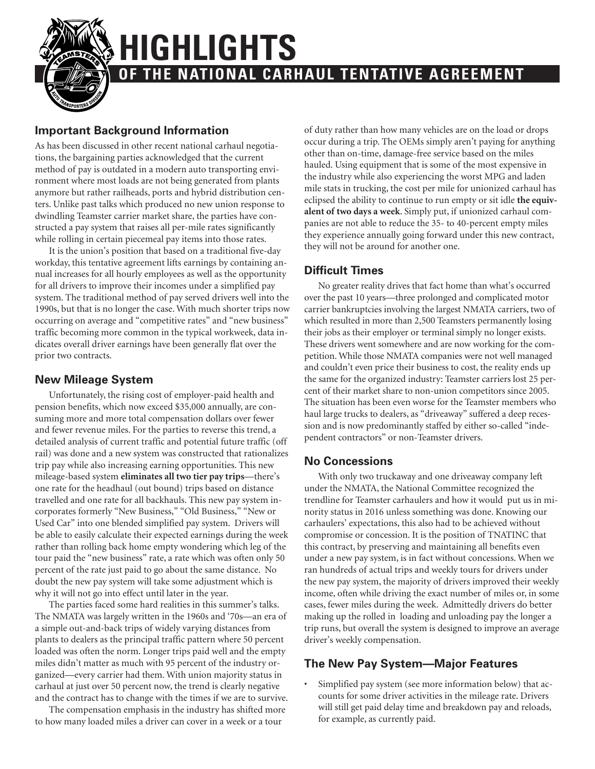**HIGHLIGHTS**

## **Important Background Information**

As has been discussed in other recent national carhaul negotiations, the bargaining parties acknowledged that the current method of pay is outdated in a modern auto transporting environment where most loads are not being generated from plants anymore but rather railheads, ports and hybrid distribution centers. Unlike past talks which produced no new union response to dwindling Teamster carrier market share, the parties have constructed a pay system that raises all per-mile rates significantly while rolling in certain piecemeal pay items into those rates.

It is the union's position that based on a traditional five-day workday, this tentative agreement lifts earnings by containing annual increases for all hourly employees as well as the opportunity for all drivers to improve their incomes under a simplified pay system. The traditional method of pay served drivers well into the 1990s, but that is no longer the case. With much shorter trips now occurring on average and "competitive rates" and "new business" traffic becoming more common in the typical workweek, data indicates overall driver earnings have been generally flat over the prior two contracts.

### **New Mileage System**

Unfortunately, the rising cost of employer-paid health and pension benefits, which now exceed \$35,000 annually, are consuming more and more total compensation dollars over fewer and fewer revenue miles. For the parties to reverse this trend, a detailed analysis of current traffic and potential future traffic (off rail) was done and a new system was constructed that rationalizes trip pay while also increasing earning opportunities. This new mileage-based system **eliminates all two tier pay trips**—there's one rate for the headhaul (out bound) trips based on distance travelled and one rate for all backhauls. This new pay system incorporates formerly "New Business," "Old Business," "New or Used Car" into one blended simplified pay system. Drivers will be able to easily calculate their expected earnings during the week rather than rolling back home empty wondering which leg of the tour paid the "new business" rate, a rate which was often only 50 percent of the rate just paid to go about the same distance. No doubt the new pay system will take some adjustment which is why it will not go into effect until later in the year.

The parties faced some hard realities in this summer's talks. The NMATA was largely written in the 1960s and '70s—an era of a simple out-and-back trips of widely varying distances from plants to dealers as the principal traffic pattern where 50 percent loaded was often the norm. Longer trips paid well and the empty miles didn't matter as much with 95 percent of the industry organized—every carrier had them. With union majority status in carhaul at just over 50 percent now, the trend is clearly negative and the contract has to change with the times if we are to survive.

The compensation emphasis in the industry has shifted more to how many loaded miles a driver can cover in a week or a tour

of duty rather than how many vehicles are on the load or drops occur during a trip. The OEMs simply aren't paying for anything other than on-time, damage-free service based on the miles hauled. Using equipment that is some of the most expensive in the industry while also experiencing the worst MPG and laden mile stats in trucking, the cost per mile for unionized carhaul has eclipsed the ability to continue to run empty or sit idle **the equivalent of two days a week**. Simply put, if unionized carhaul companies are not able to reduce the 35- to 40-percent empty miles they experience annually going forward under this new contract, they will not be around for another one.

### **Difficult Times**

**OF THE NATIONAL CARHAUL TENTATIVE AGREEMENT**

No greater reality drives that fact home than what's occurred over the past 10 years—three prolonged and complicated motor carrier bankruptcies involving the largest NMATA carriers, two of which resulted in more than 2,500 Teamsters permanently losing their jobs as their employer or terminal simply no longer exists. These drivers went somewhere and are now working for the competition. While those NMATA companies were not well managed and couldn't even price their business to cost, the reality ends up the same for the organized industry: Teamster carriers lost 25 percent of their market share to non-union competitors since 2005. The situation has been even worse for the Teamster members who haul large trucks to dealers, as "driveaway" suffered a deep recession and is now predominantly staffed by either so-called "independent contractors" or non-Teamster drivers.

### **No Concessions**

With only two truckaway and one driveaway company left under the NMATA, the National Committee recognized the trendline for Teamster carhaulers and how it would put us in minority status in 2016 unless something was done. Knowing our carhaulers' expectations, this also had to be achieved without compromise or concession. It is the position of TNATINC that this contract, by preserving and maintaining all benefits even under a new pay system, is in fact without concessions. When we ran hundreds of actual trips and weekly tours for drivers under the new pay system, the majority of drivers improved their weekly income, often while driving the exact number of miles or, in some cases, fewer miles during the week. Admittedly drivers do better making up the rolled in loading and unloading pay the longer a trip runs, but overall the system is designed to improve an average driver's weekly compensation.

### **The New Pay System—Major Features**

Simplified pay system (see more information below) that accounts for some driver activities in the mileage rate. Drivers will still get paid delay time and breakdown pay and reloads, for example, as currently paid.